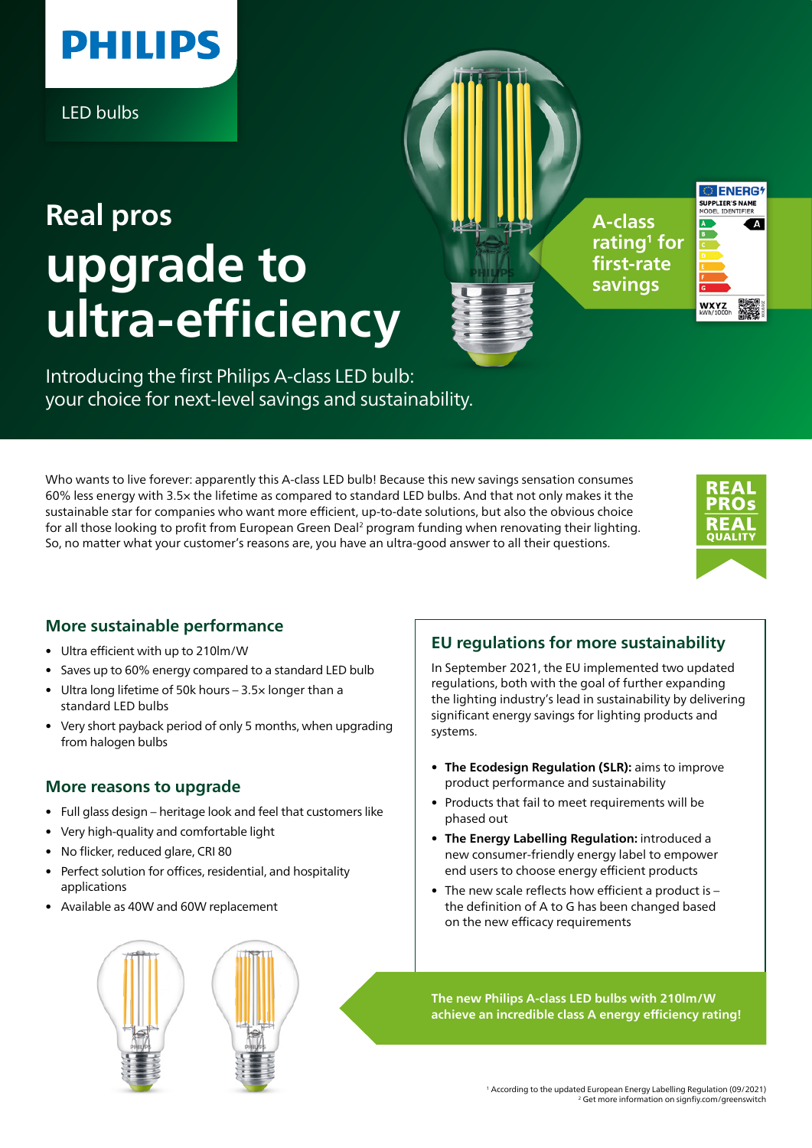

LED bulbs

# **upgrade to ultra-efficiency Real pros A-class**

**rating1 for first-rate savings**

```
OF ENERG
SUPPLIER'S NAME<br>MODEL IDENTIFIER
                  \mathbf{A}
```
Introducing the first Philips A-class LED bulb: your choice for next-level savings and sustainability.

Who wants to live forever: apparently this A-class LED bulb! Because this new savings sensation consumes 60% less energy with 3.5× the lifetime as compared to standard LED bulbs. And that not only makes it the sustainable star for companies who want more efficient, up-to-date solutions, but also the obvious choice for all those looking to profit from European Green Deal<sup>2</sup> program funding when renovating their lighting. So, no matter what your customer's reasons are, you have an ultra-good answer to all their questions.



## **More sustainable performance**

- Ultra efficient with up to 210lm/W
- Saves up to 60% energy compared to a standard LED bulb
- Ultra long lifetime of 50k hours 3.5× longer than a standard LED bulbs
- Very short payback period of only 5 months, when upgrading from halogen bulbs

### **More reasons to upgrade**

- Full glass design heritage look and feel that customers like
- Very high-quality and comfortable light
- No flicker, reduced glare, CRI 80
- Perfect solution for offices, residential, and hospitality applications
- Available as 40W and 60W replacement

#### regulations, both with the goal of further expanding the lighting industry's lead in sustainability by delivering significant energy savings for lighting products and systems.

**• The Ecodesign Regulation (SLR):** aims to improve product performance and sustainability

**EU regulations for more sustainability** In September 2021, the EU implemented two updated

- Products that fail to meet requirements will be phased out
- **• The Energy Labelling Regulation:** introduced a new consumer-friendly energy label to empower end users to choose energy efficient products
- The new scale reflects how efficient a product is the definition of A to G has been changed based on the new efficacy requirements

**The new Philips A-class LED bulbs with 210lm/W achieve an incredible class A energy efficiency rating!**

> 1 According to the updated European Energy Labelling Regulation (09/2021) 2 Get more information on signfiy.com/greenswitch